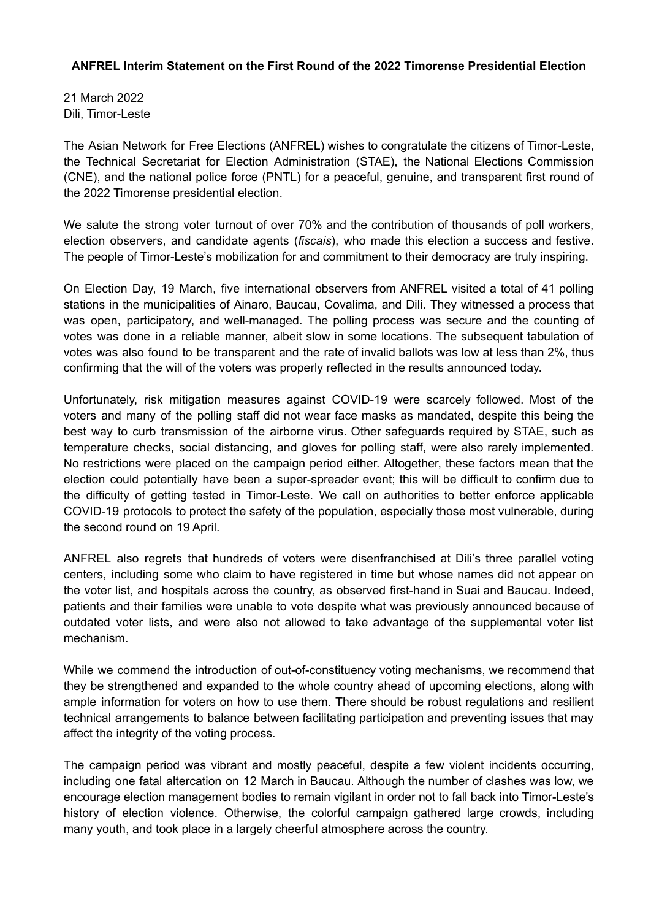## **ANFREL Interim Statement on the First Round of the 2022 Timorense Presidential Election**

21 March 2022 Dili, Timor-Leste

The Asian Network for Free Elections (ANFREL) wishes to congratulate the citizens of Timor-Leste, the Technical Secretariat for Election Administration (STAE), the National Elections Commission (CNE), and the national police force (PNTL) for a peaceful, genuine, and transparent first round of the 2022 Timorense presidential election.

We salute the strong voter turnout of over 70% and the contribution of thousands of poll workers, election observers, and candidate agents (*fiscais*), who made this election a success and festive. The people of Timor-Leste's mobilization for and commitment to their democracy are truly inspiring.

On Election Day, 19 March, five international observers from ANFREL visited a total of 41 polling stations in the municipalities of Ainaro, Baucau, Covalima, and Dili. They witnessed a process that was open, participatory, and well-managed. The polling process was secure and the counting of votes was done in a reliable manner, albeit slow in some locations. The subsequent tabulation of votes was also found to be transparent and the rate of invalid ballots was low at less than 2%, thus confirming that the will of the voters was properly reflected in the results announced today.

Unfortunately, risk mitigation measures against COVID-19 were scarcely followed. Most of the voters and many of the polling staff did not wear face masks as mandated, despite this being the best way to curb transmission of the airborne virus. Other safeguards required by STAE, such as temperature checks, social distancing, and gloves for polling staff, were also rarely implemented. No restrictions were placed on the campaign period either. Altogether, these factors mean that the election could potentially have been a super-spreader event; this will be difficult to confirm due to the difficulty of getting tested in Timor-Leste. We call on authorities to better enforce applicable COVID-19 protocols to protect the safety of the population, especially those most vulnerable, during the second round on 19 April.

ANFREL also regrets that hundreds of voters were disenfranchised at Dili's three parallel voting centers, including some who claim to have registered in time but whose names did not appear on the voter list, and hospitals across the country, as observed first-hand in Suai and Baucau. Indeed, patients and their families were unable to vote despite what was previously announced because of outdated voter lists, and were also not allowed to take advantage of the supplemental voter list mechanism.

While we commend the introduction of out-of-constituency voting mechanisms, we recommend that they be strengthened and expanded to the whole country ahead of upcoming elections, along with ample information for voters on how to use them. There should be robust regulations and resilient technical arrangements to balance between facilitating participation and preventing issues that may affect the integrity of the voting process.

The campaign period was vibrant and mostly peaceful, despite a few violent incidents occurring, including one fatal altercation on 12 March in Baucau. Although the number of clashes was low, we encourage election management bodies to remain vigilant in order not to fall back into Timor-Leste's history of election violence. Otherwise, the colorful campaign gathered large crowds, including many youth, and took place in a largely cheerful atmosphere across the country.